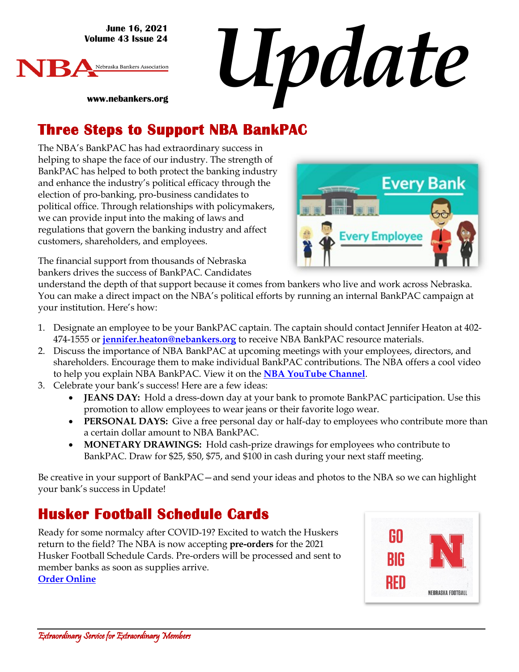**June 16, 2021 Volume 43 Issue 24**

**www.nebankers.org**





## **Three Steps to Support NBA BankPAC**

The NBA's BankPAC has had extraordinary success in helping to shape the face of our industry. The strength of BankPAC has helped to both protect the banking industry and enhance the industry's political efficacy through the election of pro-banking, pro-business candidates to political office. Through relationships with policymakers, we can provide input into the making of laws and regulations that govern the banking industry and affect customers, shareholders, and employees.

The financial support from thousands of Nebraska bankers drives the success of BankPAC. Candidates



understand the depth of that support because it comes from bankers who live and work across Nebraska. You can make a direct impact on the NBA's political efforts by running an internal BankPAC campaign at your institution. Here's how:

- 1. Designate an employee to be your BankPAC captain. The captain should contact Jennifer Heaton at 402- 474-1555 or **[jennifer.heaton@nebankers.org](mailto:jennifer.heaton@nebankers.org)** to receive NBA BankPAC resource materials.
- 2. Discuss the importance of NBA BankPAC at upcoming meetings with your employees, directors, and shareholders. Encourage them to make individual BankPAC contributions. The NBA offers a cool video to help you explain NBA BankPAC. View it on the **[NBA YouTube Channel](https://youtu.be/9ReOo6YyM3A)**.
- 3. Celebrate your bank's success! Here are a few ideas:
	- **JEANS DAY:** Hold a dress-down day at your bank to promote BankPAC participation. Use this promotion to allow employees to wear jeans or their favorite logo wear.
	- **PERSONAL DAYS:** Give a free personal day or half-day to employees who contribute more than a certain dollar amount to NBA BankPAC.
	- **MONETARY DRAWINGS:** Hold cash-prize drawings for employees who contribute to BankPAC. Draw for \$25, \$50, \$75, and \$100 in cash during your next staff meeting.

Be creative in your support of BankPAC—and send your ideas and photos to the NBA so we can highlight your bank's success in Update!

# **Husker Football Schedule Cards**

Ready for some normalcy after COVID-19? Excited to watch the Huskers return to the field? The NBA is now accepting **pre-orders** for the 2021 Husker Football Schedule Cards. Pre-orders will be processed and sent to member banks as soon as supplies arrive. **[Order Online](https://www.nebankers.org/footballschedules.html)**

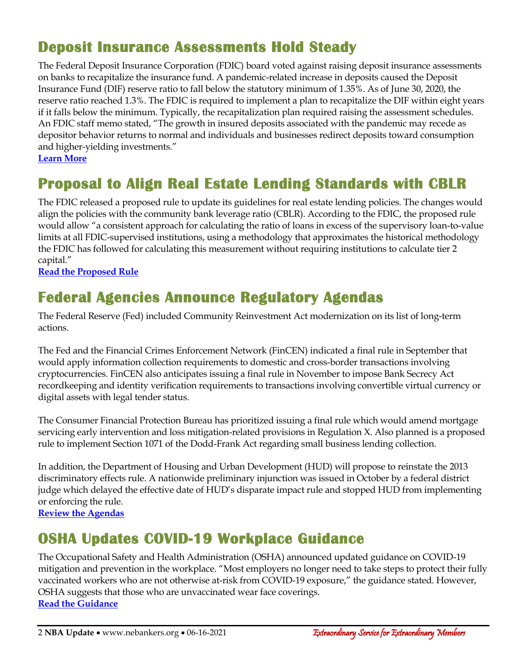# **Deposit Insurance Assessments Hold Steady**

The Federal Deposit Insurance Corporation (FDIC) board voted against raising deposit insurance assessments on banks to recapitalize the insurance fund. A pandemic-related increase in deposits caused the Deposit Insurance Fund (DIF) reserve ratio to fall below the statutory minimum of 1.35%. As of June 30, 2020, the reserve ratio reached 1.3%. The FDIC is required to implement a plan to recapitalize the DIF within eight years if it falls below the minimum. Typically, the recapitalization plan required raising the assessment schedules. An FDIC staff memo stated, "The growth in insured deposits associated with the pandemic may recede as depositor behavior returns to normal and individuals and businesses redirect deposits toward consumption and higher-yielding investments."

**[Learn More](https://www.fdic.gov/news/board/2021/2021-06-15-notice-dis-a-mem.pdf)**

## **Proposal to Align Real Estate Lending Standards with CBLR**

The FDIC released a proposed rule to update its guidelines for real estate lending policies. The changes would align the policies with the community bank leverage ratio (CBLR). According to the FDIC, the proposed rule would allow "a consistent approach for calculating the ratio of loans in excess of the supervisory loan-to-value limits at all FDIC-supervised institutions, using a methodology that approximates the historical methodology the FDIC has followed for calculating this measurement without requiring institutions to calculate tier 2 capital."

**[Read the Proposed Rule](https://www.fdic.gov/news/board/2021/2021-06-15-notice-sum-c-fr.pdf)**

### **Federal Agencies Announce Regulatory Agendas**

The Federal Reserve (Fed) included Community Reinvestment Act modernization on its list of long-term actions.

The Fed and the Financial Crimes Enforcement Network (FinCEN) indicated a final rule in September that would apply information collection requirements to domestic and cross-border transactions involving cryptocurrencies. FinCEN also anticipates issuing a final rule in November to impose Bank Secrecy Act recordkeeping and identity verification requirements to transactions involving convertible virtual currency or digital assets with legal tender status.

The Consumer Financial Protection Bureau has prioritized issuing a final rule which would amend mortgage servicing early intervention and loss mitigation-related provisions in Regulation X. Also planned is a proposed rule to implement Section 1071 of the Dodd-Frank Act regarding small business lending collection.

In addition, the Department of Housing and Urban Development (HUD) will propose to reinstate the 2013 discriminatory effects rule. A nationwide preliminary injunction was issued in October by a federal district judge which delayed the effective date of HUD's disparate impact rule and stopped HUD from implementing or enforcing the rule.

**Review [the Agendas](https://www.reginfo.gov/public/do/eAgendaMain?)**

### **OSHA Updates COVID-19 Workplace Guidance**

The Occupational Safety and Health Administration (OSHA) announced updated guidance on COVID-19 mitigation and prevention in the workplace. "Most employers no longer need to take steps to protect their fully vaccinated workers who are not otherwise at-risk from COVID-19 exposure," the guidance stated. However, OSHA suggests that those who are unvaccinated wear face coverings. **[Read the Guidance](https://www.osha.gov/coronavirus/safework)**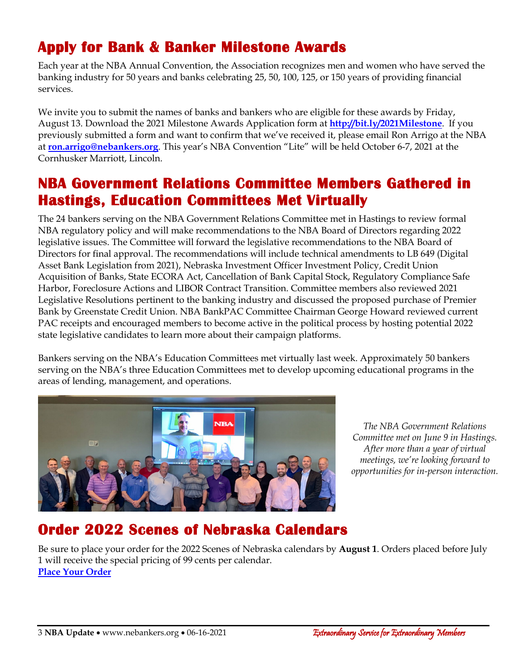### **Apply for Bank & Banker Milestone Awards**

Each year at the NBA Annual Convention, the Association recognizes men and women who have served the banking industry for 50 years and banks celebrating 25, 50, 100, 125, or 150 years of providing financial services.

We invite you to submit the names of banks and bankers who are eligible for these awards by Friday, August 13. Download the 2021 Milestone Awards Application form at **<http://bit.ly/2021Milestone>**. If you previously submitted a form and want to confirm that we've received it, please email Ron Arrigo at the NBA at **[ron.arrigo@nebankers.org](mailto:ron.arrigo@nebankers.org)**. This year's NBA Convention "Lite" will be held October 6-7, 2021 at the Cornhusker Marriott, Lincoln.

#### **NBA Government Relations Committee Members Gathered in Hastings, Education Committees Met Virtually**

The 24 bankers serving on the NBA Government Relations Committee met in Hastings to review formal NBA regulatory policy and will make recommendations to the NBA Board of Directors regarding 2022 legislative issues. The Committee will forward the legislative recommendations to the NBA Board of Directors for final approval. The recommendations will include technical amendments to LB 649 (Digital Asset Bank Legislation from 2021), Nebraska Investment Officer Investment Policy, Credit Union Acquisition of Banks, State ECORA Act, Cancellation of Bank Capital Stock, Regulatory Compliance Safe Harbor, Foreclosure Actions and LIBOR Contract Transition. Committee members also reviewed 2021 Legislative Resolutions pertinent to the banking industry and discussed the proposed purchase of Premier Bank by Greenstate Credit Union. NBA BankPAC Committee Chairman George Howard reviewed current PAC receipts and encouraged members to become active in the political process by hosting potential 2022 state legislative candidates to learn more about their campaign platforms.

Bankers serving on the NBA's Education Committees met virtually last week. Approximately 50 bankers serving on the NBA's three Education Committees met to develop upcoming educational programs in the areas of lending, management, and operations.



*The NBA Government Relations Committee met on June 9 in Hastings. After more than a year of virtual meetings, we're looking forward to opportunities for in-person interaction.* 

# **Order 2022 Scenes of Nebraska Calendars**

Be sure to place your order for the 2022 Scenes of Nebraska calendars by **August 1**. Orders placed before July 1 will receive the special pricing of 99 cents per calendar. **[Place Your Order](https://www.nebankers.org/calendars.html)**